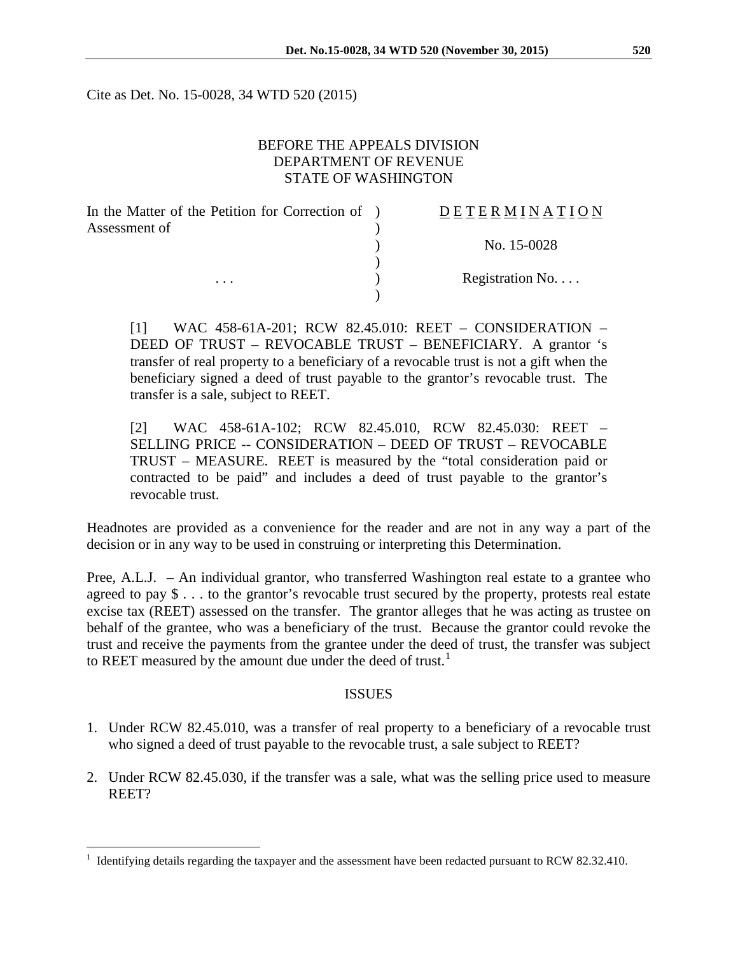Cite as Det. No. 15-0028, 34 WTD 520 (2015)

# BEFORE THE APPEALS DIVISION DEPARTMENT OF REVENUE STATE OF WASHINGTON

| In the Matter of the Petition for Correction of ) | <b>DETERMINATION</b> |
|---------------------------------------------------|----------------------|
| Assessment of                                     |                      |
|                                                   | No. 15-0028          |
|                                                   |                      |
| $\cdots$                                          | Registration No.     |
|                                                   |                      |

[1] WAC 458-61A-201; RCW 82.45.010: REET – CONSIDERATION – DEED OF TRUST – REVOCABLE TRUST – BENEFICIARY. A grantor 's transfer of real property to a beneficiary of a revocable trust is not a gift when the beneficiary signed a deed of trust payable to the grantor's revocable trust. The transfer is a sale, subject to REET.

[2] WAC 458-61A-102; RCW 82.45.010, RCW 82.45.030: REET – SELLING PRICE -- CONSIDERATION – DEED OF TRUST – REVOCABLE TRUST – MEASURE. REET is measured by the "total consideration paid or contracted to be paid" and includes a deed of trust payable to the grantor's revocable trust.

Headnotes are provided as a convenience for the reader and are not in any way a part of the decision or in any way to be used in construing or interpreting this Determination.

Pree, A.L.J. – An individual grantor, who transferred Washington real estate to a grantee who agreed to pay \$ . . . to the grantor's revocable trust secured by the property, protests real estate excise tax (REET) assessed on the transfer. The grantor alleges that he was acting as trustee on behalf of the grantee, who was a beneficiary of the trust. Because the grantor could revoke the trust and receive the payments from the grantee under the deed of trust, the transfer was subject to REET measured by the amount due under the deed of trust. $<sup>1</sup>$  $<sup>1</sup>$  $<sup>1</sup>$ </sup>

# ISSUES

- 1. Under RCW 82.45.010, was a transfer of real property to a beneficiary of a revocable trust who signed a deed of trust payable to the revocable trust, a sale subject to REET?
- 2. Under RCW 82.45.030, if the transfer was a sale, what was the selling price used to measure REET?

<span id="page-0-0"></span> <sup>1</sup> Identifying details regarding the taxpayer and the assessment have been redacted pursuant to RCW 82.32.410.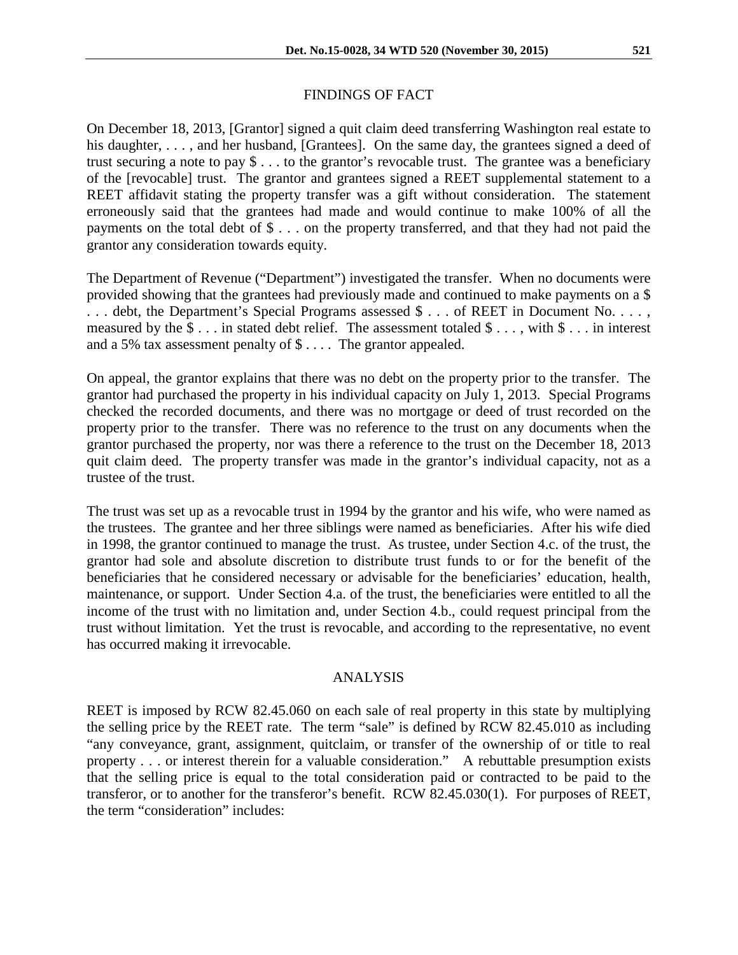# FINDINGS OF FACT

On December 18, 2013, [Grantor] signed a quit claim deed transferring Washington real estate to his daughter, ..., and her husband, [Grantees]. On the same day, the grantees signed a deed of trust securing a note to pay \$ . . . to the grantor's revocable trust. The grantee was a beneficiary of the [revocable] trust. The grantor and grantees signed a REET supplemental statement to a REET affidavit stating the property transfer was a gift without consideration. The statement erroneously said that the grantees had made and would continue to make 100% of all the payments on the total debt of \$ . . . on the property transferred, and that they had not paid the grantor any consideration towards equity.

The Department of Revenue ("Department") investigated the transfer. When no documents were provided showing that the grantees had previously made and continued to make payments on a \$ . . . debt, the Department's Special Programs assessed \$ . . . of REET in Document No. . . . , measured by the \$ . . . in stated debt relief. The assessment totaled \$ . . . , with \$ . . . in interest and a 5% tax assessment penalty of \$ . . . . The grantor appealed.

On appeal, the grantor explains that there was no debt on the property prior to the transfer. The grantor had purchased the property in his individual capacity on July 1, 2013. Special Programs checked the recorded documents, and there was no mortgage or deed of trust recorded on the property prior to the transfer. There was no reference to the trust on any documents when the grantor purchased the property, nor was there a reference to the trust on the December 18, 2013 quit claim deed. The property transfer was made in the grantor's individual capacity, not as a trustee of the trust.

The trust was set up as a revocable trust in 1994 by the grantor and his wife, who were named as the trustees. The grantee and her three siblings were named as beneficiaries. After his wife died in 1998, the grantor continued to manage the trust. As trustee, under Section 4.c. of the trust, the grantor had sole and absolute discretion to distribute trust funds to or for the benefit of the beneficiaries that he considered necessary or advisable for the beneficiaries' education, health, maintenance, or support. Under Section 4.a. of the trust, the beneficiaries were entitled to all the income of the trust with no limitation and, under Section 4.b., could request principal from the trust without limitation. Yet the trust is revocable, and according to the representative, no event has occurred making it irrevocable.

# ANALYSIS

REET is imposed by RCW 82.45.060 on each sale of real property in this state by multiplying the selling price by the REET rate. The term "sale" is defined by RCW 82.45.010 as including "any conveyance, grant, assignment, quitclaim, or transfer of the ownership of or title to real property . . . or interest therein for a valuable consideration." A rebuttable presumption exists that the selling price is equal to the total consideration paid or contracted to be paid to the transferor, or to another for the transferor's benefit. RCW 82.45.030(1). For purposes of REET, the term "consideration" includes: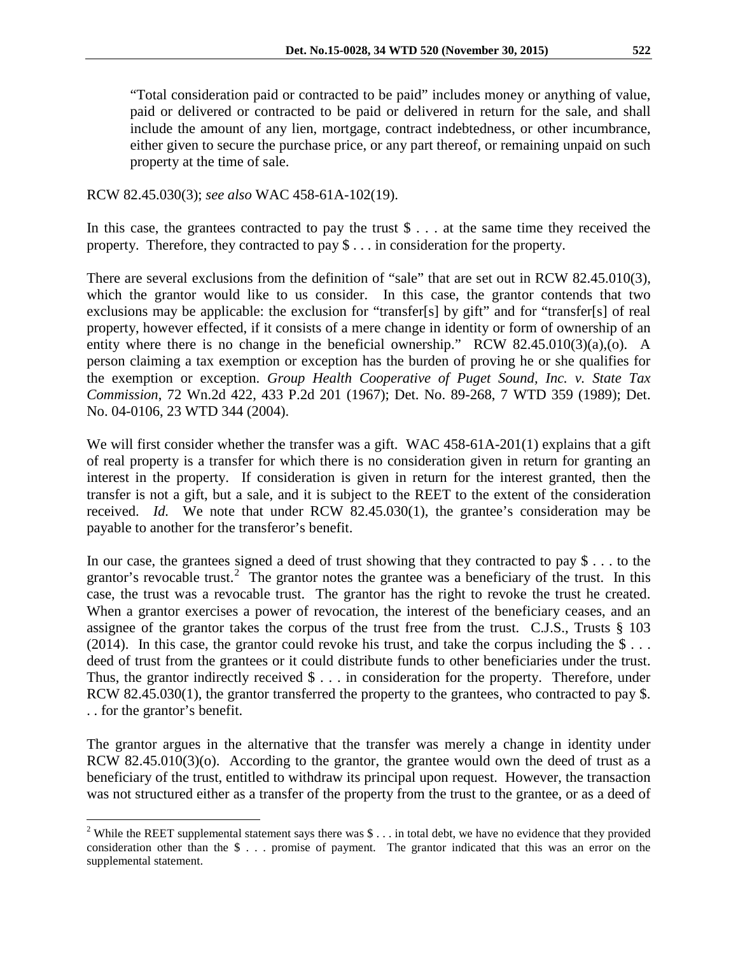"Total consideration paid or contracted to be paid" includes money or anything of value, paid or delivered or contracted to be paid or delivered in return for the sale, and shall include the amount of any lien, mortgage, contract indebtedness, or other incumbrance, either given to secure the purchase price, or any part thereof, or remaining unpaid on such property at the time of sale.

RCW 82.45.030(3); *see also* WAC 458-61A-102(19).

In this case, the grantees contracted to pay the trust \$ . . . at the same time they received the property. Therefore, they contracted to pay \$ . . . in consideration for the property.

There are several exclusions from the definition of "sale" that are set out in RCW 82.45.010(3), which the grantor would like to us consider. In this case, the grantor contends that two exclusions may be applicable: the exclusion for "transfer[s] by gift" and for "transfer[s] of real property, however effected, if it consists of a mere change in identity or form of ownership of an entity where there is no change in the beneficial ownership." RCW 82.45.010(3)(a),(o). A person claiming a tax exemption or exception has the burden of proving he or she qualifies for the exemption or exception. *Group Health Cooperative of Puget Sound, Inc. v. State Tax Commission*, 72 Wn.2d 422, 433 P.2d 201 (1967); Det. No. 89-268, 7 WTD 359 (1989); Det. No. 04-0106, 23 WTD 344 (2004).

We will first consider whether the transfer was a gift. WAC 458-61A-201(1) explains that a gift of real property is a transfer for which there is no consideration given in return for granting an interest in the property. If consideration is given in return for the interest granted, then the transfer is not a gift, but a sale, and it is subject to the REET to the extent of the consideration received. *Id.* We note that under RCW 82.45.030(1), the grantee's consideration may be payable to another for the transferor's benefit.

In our case, the grantees signed a deed of trust showing that they contracted to pay \$ . . . to the grantor's revocable trust.<sup>[2](#page-2-0)</sup> The grantor notes the grantee was a beneficiary of the trust. In this case, the trust was a revocable trust. The grantor has the right to revoke the trust he created. When a grantor exercises a power of revocation, the interest of the beneficiary ceases, and an assignee of the grantor takes the corpus of the trust free from the trust. C.J.S., Trusts § 103 (2014). In this case, the grantor could revoke his trust, and take the corpus including the  $\frac{1}{2}$ ... deed of trust from the grantees or it could distribute funds to other beneficiaries under the trust. Thus, the grantor indirectly received  $\$\ldots\]$  in consideration for the property. Therefore, under RCW 82.45.030(1), the grantor transferred the property to the grantees, who contracted to pay \$. . . for the grantor's benefit.

The grantor argues in the alternative that the transfer was merely a change in identity under RCW 82.45.010(3)(o). According to the grantor, the grantee would own the deed of trust as a beneficiary of the trust, entitled to withdraw its principal upon request. However, the transaction was not structured either as a transfer of the property from the trust to the grantee, or as a deed of

<span id="page-2-0"></span><sup>&</sup>lt;sup>2</sup> While the REET supplemental statement says there was  $\frac{1}{2}$ ... in total debt, we have no evidence that they provided consideration other than the \$ . . . promise of payment. The grantor indicated that this was an error on the supplemental statement.